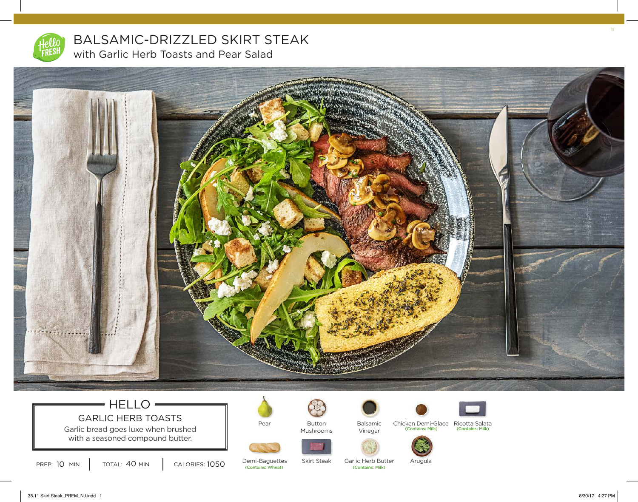

BALSAMIC-DRIZZLED SKIRT STEAK with Garlic Herb Toasts and Pear Salad



# $=$  HELLO  $=$ GARLIC HERB TOASTS

Garlic bread goes luxe when brushed with a seasoned compound butter.

PREP: 10 MIN | TOTAL: 40 MIN | CALORIES: 1050

TOTAL: 40 MIN

Pear

Demi-Baguettes



Button Mushrooms



Vinegar



(Contains: Milk) (Contains: Milk) Balsamic Chicken Demi-Glace Ricotta Salata





(Contains: Wheat) (Contains: Milk) Garlic Herb Butter

Skirt Steak

38.11 Skirt Steak\_PREM\_NJ.indd 1 8/30/17 4:27 PM

11